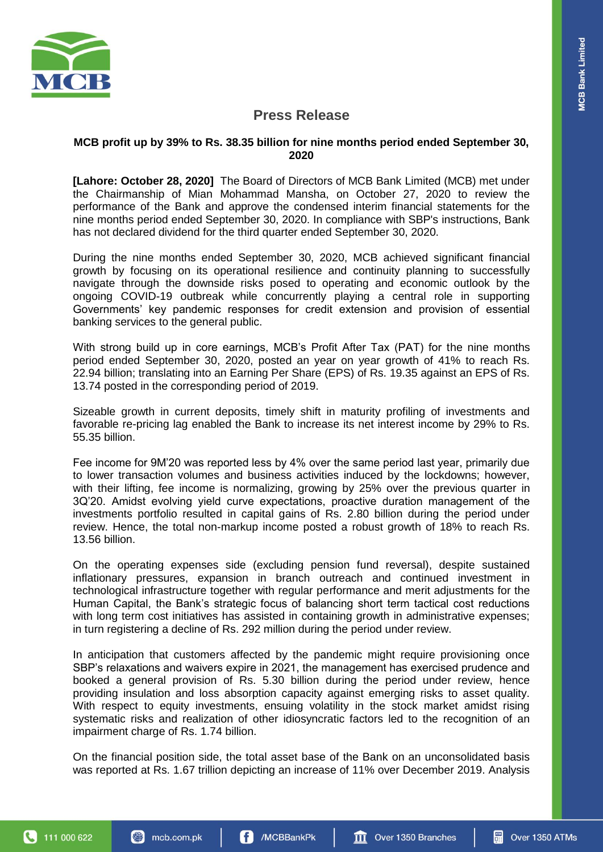

# **Press Release**

## **MCB profit up by 39% to Rs. 38.35 billion for nine months period ended September 30, 2020**

**[Lahore: October 28, 2020]** The Board of Directors of MCB Bank Limited (MCB) met under the Chairmanship of Mian Mohammad Mansha, on October 27, 2020 to review the performance of the Bank and approve the condensed interim financial statements for the nine months period ended September 30, 2020. In compliance with SBP's instructions, Bank has not declared dividend for the third quarter ended September 30, 2020.

During the nine months ended September 30, 2020, MCB achieved significant financial growth by focusing on its operational resilience and continuity planning to successfully navigate through the downside risks posed to operating and economic outlook by the ongoing COVID-19 outbreak while concurrently playing a central role in supporting Governments' key pandemic responses for credit extension and provision of essential banking services to the general public.

With strong build up in core earnings, MCB's Profit After Tax (PAT) for the nine months period ended September 30, 2020, posted an year on year growth of 41% to reach Rs. 22.94 billion; translating into an Earning Per Share (EPS) of Rs. 19.35 against an EPS of Rs. 13.74 posted in the corresponding period of 2019.

Sizeable growth in current deposits, timely shift in maturity profiling of investments and favorable re-pricing lag enabled the Bank to increase its net interest income by 29% to Rs. 55.35 billion.

Fee income for 9M'20 was reported less by 4% over the same period last year, primarily due to lower transaction volumes and business activities induced by the lockdowns; however, with their lifting, fee income is normalizing, growing by 25% over the previous quarter in 3Q'20. Amidst evolving yield curve expectations, proactive duration management of the investments portfolio resulted in capital gains of Rs. 2.80 billion during the period under review. Hence, the total non-markup income posted a robust growth of 18% to reach Rs. 13.56 billion.

On the operating expenses side (excluding pension fund reversal), despite sustained inflationary pressures, expansion in branch outreach and continued investment in technological infrastructure together with regular performance and merit adjustments for the Human Capital, the Bank's strategic focus of balancing short term tactical cost reductions with long term cost initiatives has assisted in containing growth in administrative expenses; in turn registering a decline of Rs. 292 million during the period under review.

In anticipation that customers affected by the pandemic might require provisioning once SBP's relaxations and waivers expire in 2021, the management has exercised prudence and booked a general provision of Rs. 5.30 billion during the period under review, hence providing insulation and loss absorption capacity against emerging risks to asset quality. With respect to equity investments, ensuing volatility in the stock market amidst rising systematic risks and realization of other idiosyncratic factors led to the recognition of an impairment charge of Rs. 1.74 billion.

On the financial position side, the total asset base of the Bank on an unconsolidated basis was reported at Rs. 1.67 trillion depicting an increase of 11% over December 2019. Analysis